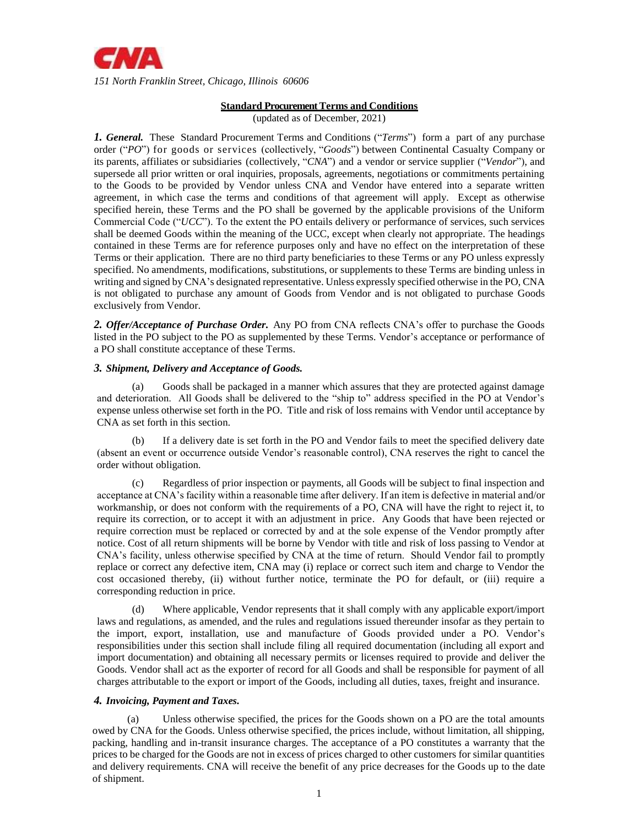

# **Standard Procurement Terms and Conditions**

(updated as of December, 2021)

*1. General.* These Standard Procurement Terms and Conditions ("*Terms*") form a part of any purchase order ("*PO*") for goods or services (collectively, "*Goods*") between Continental Casualty Company or its parents, affiliates or subsidiaries (collectively, "*CNA*") and a vendor or service supplier ("*Vendor*"), and supersede all prior written or oral inquiries, proposals, agreements, negotiations or commitments pertaining to the Goods to be provided by Vendor unless CNA and Vendor have entered into a separate written agreement, in which case the terms and conditions of that agreement will apply. Except as otherwise specified herein, these Terms and the PO shall be governed by the applicable provisions of the Uniform Commercial Code ("*UCC*"). To the extent the PO entails delivery or performance of services, such services shall be deemed Goods within the meaning of the UCC, except when clearly not appropriate. The headings contained in these Terms are for reference purposes only and have no effect on the interpretation of these Terms or their application. There are no third party beneficiaries to these Terms or any PO unless expressly specified. No amendments, modifications, substitutions, or supplements to these Terms are binding unless in writing and signed by CNA's designated representative. Unless expressly specified otherwise in the PO, CNA is not obligated to purchase any amount of Goods from Vendor and is not obligated to purchase Goods exclusively from Vendor.

*2. Offer/Acceptance of Purchase Order.* Any PO from CNA reflects CNA's offer to purchase the Goods listed in the PO subject to the PO as supplemented by these Terms. Vendor's acceptance or performance of a PO shall constitute acceptance of these Terms.

# *3. Shipment, Delivery and Acceptance of Goods.*

(a) Goods shall be packaged in a manner which assures that they are protected against damage and deterioration. All Goods shall be delivered to the "ship to" address specified in the PO at Vendor's expense unless otherwise set forth in the PO. Title and risk of loss remains with Vendor until acceptance by CNA as set forth in this section.

If a delivery date is set forth in the PO and Vendor fails to meet the specified delivery date (absent an event or occurrence outside Vendor's reasonable control), CNA reserves the right to cancel the order without obligation.

(c) Regardless of prior inspection or payments, all Goods will be subject to final inspection and acceptance at CNA's facility within a reasonable time after delivery. If an item is defective in material and/or workmanship, or does not conform with the requirements of a PO, CNA will have the right to reject it, to require its correction, or to accept it with an adjustment in price. Any Goods that have been rejected or require correction must be replaced or corrected by and at the sole expense of the Vendor promptly after notice. Cost of all return shipments will be borne by Vendor with title and risk of loss passing to Vendor at CNA's facility, unless otherwise specified by CNA at the time of return. Should Vendor fail to promptly replace or correct any defective item, CNA may (i) replace or correct such item and charge to Vendor the cost occasioned thereby, (ii) without further notice, terminate the PO for default, or (iii) require a corresponding reduction in price.

(d) Where applicable, Vendor represents that it shall comply with any applicable export/import laws and regulations, as amended, and the rules and regulations issued thereunder insofar as they pertain to the import, export, installation, use and manufacture of Goods provided under a PO. Vendor's responsibilities under this section shall include filing all required documentation (including all export and import documentation) and obtaining all necessary permits or licenses required to provide and deliver the Goods. Vendor shall act as the exporter of record for all Goods and shall be responsible for payment of all charges attributable to the export or import of the Goods, including all duties, taxes, freight and insurance.

# *4. Invoicing, Payment and Taxes.*

(a) Unless otherwise specified, the prices for the Goods shown on a PO are the total amounts owed by CNA for the Goods. Unless otherwise specified, the prices include, without limitation, all shipping, packing, handling and in-transit insurance charges. The acceptance of a PO constitutes a warranty that the prices to be charged for the Goods are not in excess of prices charged to other customers for similar quantities and delivery requirements. CNA will receive the benefit of any price decreases for the Goods up to the date of shipment.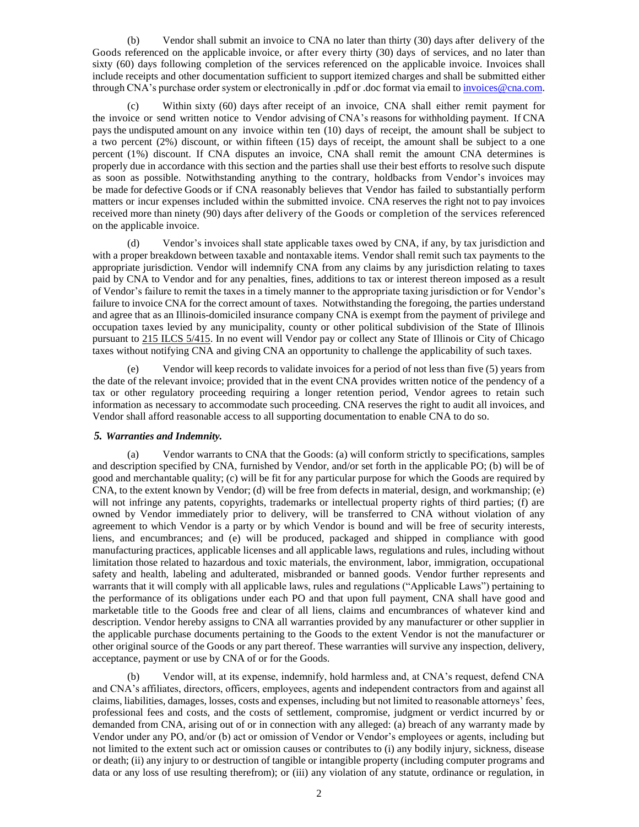(b) Vendor shall submit an invoice to CNA no later than thirty (30) days after delivery of the Goods referenced on the applicable invoice, or after every thirty (30) days of services, and no later than sixty (60) days following completion of the services referenced on the applicable invoice. Invoices shall include receipts and other documentation sufficient to support itemized charges and shall be submitted either through CNA's purchase order system or electronically in .pdf or .doc format via email to [invoices@cna.com.](mailto:invoices@cna.com)

(c) Within sixty (60) days after receipt of an invoice, CNA shall either remit payment for the invoice or send written notice to Vendor advising of CNA's reasons for withholding payment. If CNA pays the undisputed amount on any invoice within ten (10) days of receipt, the amount shall be subject to a two percent (2%) discount, or within fifteen (15) days of receipt, the amount shall be subject to a one percent (1%) discount. If CNA disputes an invoice, CNA shall remit the amount CNA determines is properly due in accordance with this section and the parties shall use their best efforts to resolve such dispute as soon as possible. Notwithstanding anything to the contrary, holdbacks from Vendor's invoices may be made for defective Goods or if CNA reasonably believes that Vendor has failed to substantially perform matters or incur expenses included within the submitted invoice. CNA reserves the right not to pay invoices received more than ninety (90) days after delivery of the Goods or completion of the services referenced on the applicable invoice.

(d) Vendor's invoices shall state applicable taxes owed by CNA, if any, by tax jurisdiction and with a proper breakdown between taxable and nontaxable items. Vendor shall remit such tax payments to the appropriate jurisdiction. Vendor will indemnify CNA from any claims by any jurisdiction relating to taxes paid by CNA to Vendor and for any penalties, fines, additions to tax or interest thereon imposed as a result of Vendor's failure to remit the taxes in a timely manner to the appropriate taxing jurisdiction or for Vendor's failure to invoice CNA for the correct amount of taxes. Notwithstanding the foregoing, the parties understand and agree that as an Illinois-domiciled insurance company CNA is exempt from the payment of privilege and occupation taxes levied by any municipality, county or other political subdivision of the State of Illinois pursuant to 215 ILCS 5/415. In no event will Vendor pay or collect any State of Illinois or City of Chicago taxes without notifying CNA and giving CNA an opportunity to challenge the applicability of such taxes.

(e) Vendor will keep records to validate invoices for a period of not less than five (5) years from the date of the relevant invoice; provided that in the event CNA provides written notice of the pendency of a tax or other regulatory proceeding requiring a longer retention period, Vendor agrees to retain such information as necessary to accommodate such proceeding. CNA reserves the right to audit all invoices, and Vendor shall afford reasonable access to all supporting documentation to enable CNA to do so.

### *5. Warranties and Indemnity.*

(a) Vendor warrants to CNA that the Goods: (a) will conform strictly to specifications, samples and description specified by CNA, furnished by Vendor, and/or set forth in the applicable PO; (b) will be of good and merchantable quality; (c) will be fit for any particular purpose for which the Goods are required by CNA, to the extent known by Vendor; (d) will be free from defects in material, design, and workmanship; (e) will not infringe any patents, copyrights, trademarks or intellectual property rights of third parties; (f) are owned by Vendor immediately prior to delivery, will be transferred to CNA without violation of any agreement to which Vendor is a party or by which Vendor is bound and will be free of security interests, liens, and encumbrances; and (e) will be produced, packaged and shipped in compliance with good manufacturing practices, applicable licenses and all applicable laws, regulations and rules, including without limitation those related to hazardous and toxic materials, the environment, labor, immigration, occupational safety and health, labeling and adulterated, misbranded or banned goods. Vendor further represents and warrants that it will comply with all applicable laws, rules and regulations ("Applicable Laws") pertaining to the performance of its obligations under each PO and that upon full payment, CNA shall have good and marketable title to the Goods free and clear of all liens, claims and encumbrances of whatever kind and description. Vendor hereby assigns to CNA all warranties provided by any manufacturer or other supplier in the applicable purchase documents pertaining to the Goods to the extent Vendor is not the manufacturer or other original source of the Goods or any part thereof. These warranties will survive any inspection, delivery, acceptance, payment or use by CNA of or for the Goods.

(b) Vendor will, at its expense, indemnify, hold harmless and, at CNA's request, defend CNA and CNA's affiliates, directors, officers, employees, agents and independent contractors from and against all claims, liabilities, damages, losses, costs and expenses, including but not limited to reasonable attorneys' fees, professional fees and costs, and the costs of settlement, compromise, judgment or verdict incurred by or demanded from CNA, arising out of or in connection with any alleged: (a) breach of any warranty made by Vendor under any PO, and/or (b) act or omission of Vendor or Vendor's employees or agents, including but not limited to the extent such act or omission causes or contributes to (i) any bodily injury, sickness, disease or death; (ii) any injury to or destruction of tangible or intangible property (including computer programs and data or any loss of use resulting therefrom); or (iii) any violation of any statute, ordinance or regulation, in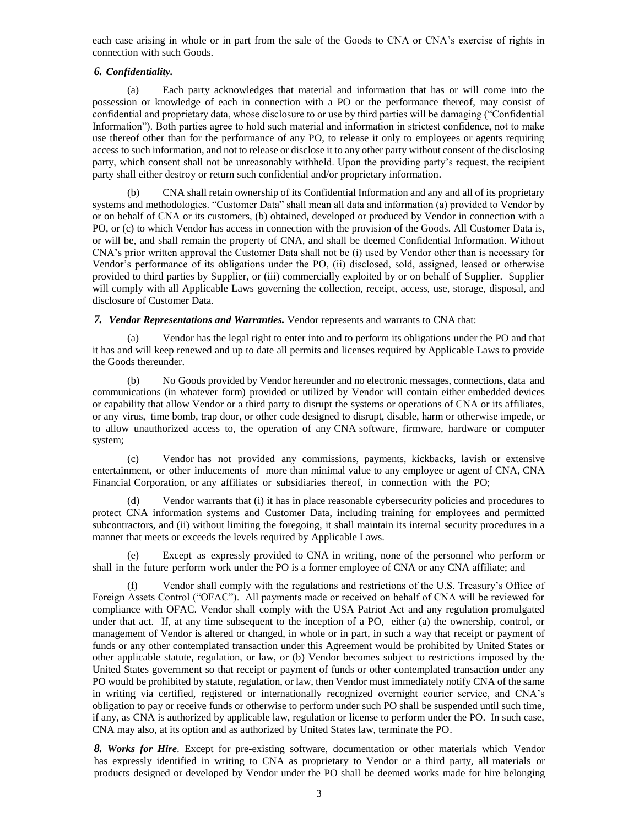each case arising in whole or in part from the sale of the Goods to CNA or CNA's exercise of rights in connection with such Goods.

### *6. Confidentiality.*

(a) Each party acknowledges that material and information that has or will come into the possession or knowledge of each in connection with a PO or the performance thereof, may consist of confidential and proprietary data, whose disclosure to or use by third parties will be damaging ("Confidential Information"). Both parties agree to hold such material and information in strictest confidence, not to make use thereof other than for the performance of any PO, to release it only to employees or agents requiring access to such information, and not to release or disclose it to any other party without consent of the disclosing party, which consent shall not be unreasonably withheld. Upon the providing party's request, the recipient party shall either destroy or return such confidential and/or proprietary information.

(b) CNA shall retain ownership of its Confidential Information and any and all of its proprietary systems and methodologies. "Customer Data" shall mean all data and information (a) provided to Vendor by or on behalf of CNA or its customers, (b) obtained, developed or produced by Vendor in connection with a PO, or (c) to which Vendor has access in connection with the provision of the Goods. All Customer Data is, or will be, and shall remain the property of CNA, and shall be deemed Confidential Information. Without CNA's prior written approval the Customer Data shall not be (i) used by Vendor other than is necessary for Vendor's performance of its obligations under the PO, (ii) disclosed, sold, assigned, leased or otherwise provided to third parties by Supplier, or (iii) commercially exploited by or on behalf of Supplier. Supplier will comply with all Applicable Laws governing the collection, receipt, access, use, storage, disposal, and disclosure of Customer Data.

*7. Vendor Representations and Warranties.* Vendor represents and warrants to CNA that:

(a) Vendor has the legal right to enter into and to perform its obligations under the PO and that it has and will keep renewed and up to date all permits and licenses required by Applicable Laws to provide the Goods thereunder.

(b) No Goods provided by Vendor hereunder and no electronic messages, connections, data and communications (in whatever form) provided or utilized by Vendor will contain either embedded devices or capability that allow Vendor or a third party to disrupt the systems or operations of CNA or its affiliates, or any virus, time bomb, trap door, or other code designed to disrupt, disable, harm or otherwise impede, or to allow unauthorized access to, the operation of any CNA software, firmware, hardware or computer system;

(c) Vendor has not provided any commissions, payments, kickbacks, lavish or extensive entertainment, or other inducements of more than minimal value to any employee or agent of CNA, CNA Financial Corporation, or any affiliates or subsidiaries thereof, in connection with the PO;

(d) Vendor warrants that (i) it has in place reasonable cybersecurity policies and procedures to protect CNA information systems and Customer Data, including training for employees and permitted subcontractors, and (ii) without limiting the foregoing, it shall maintain its internal security procedures in a manner that meets or exceeds the levels required by Applicable Laws.

(e) Except as expressly provided to CNA in writing, none of the personnel who perform or shall in the future perform work under the PO is a former employee of CNA or any CNA affiliate; and

(f) Vendor shall comply with the regulations and restrictions of the U.S. Treasury's Office of Foreign Assets Control ("OFAC"). All payments made or received on behalf of CNA will be reviewed for compliance with OFAC. Vendor shall comply with the USA Patriot Act and any regulation promulgated under that act. If, at any time subsequent to the inception of a PO, either (a) the ownership, control, or management of Vendor is altered or changed, in whole or in part, in such a way that receipt or payment of funds or any other contemplated transaction under this Agreement would be prohibited by United States or other applicable statute, regulation, or law, or (b) Vendor becomes subject to restrictions imposed by the United States government so that receipt or payment of funds or other contemplated transaction under any PO would be prohibited by statute, regulation, or law, then Vendor must immediately notify CNA of the same in writing via certified, registered or internationally recognized overnight courier service, and CNA's obligation to pay or receive funds or otherwise to perform under such PO shall be suspended until such time, if any, as CNA is authorized by applicable law, regulation or license to perform under the PO. In such case, CNA may also, at its option and as authorized by United States law, terminate the PO.

*8. Works for Hire*. Except for pre-existing software, documentation or other materials which Vendor has expressly identified in writing to CNA as proprietary to Vendor or a third party, all materials or products designed or developed by Vendor under the PO shall be deemed works made for hire belonging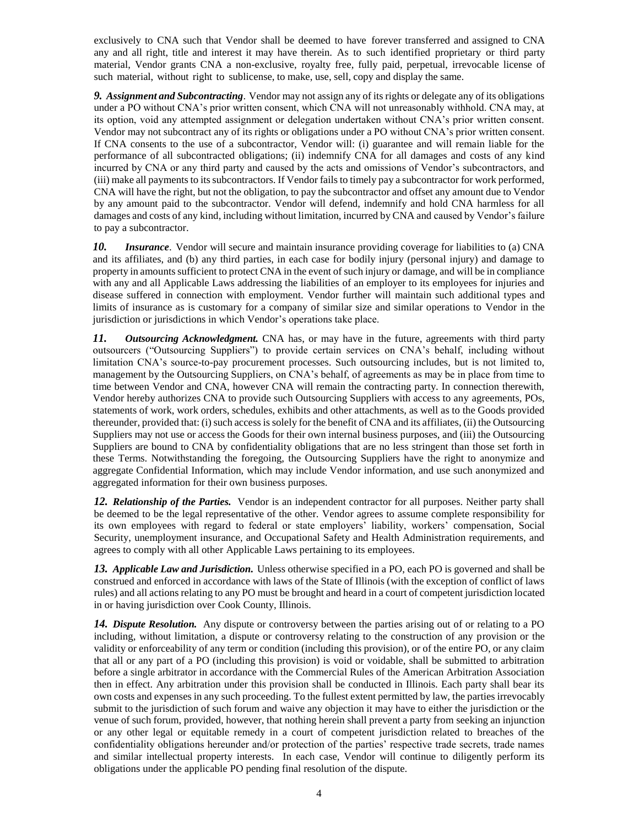exclusively to CNA such that Vendor shall be deemed to have forever transferred and assigned to CNA any and all right, title and interest it may have therein. As to such identified proprietary or third party material, Vendor grants CNA a non-exclusive, royalty free, fully paid, perpetual, irrevocable license of such material, without right to sublicense, to make, use, sell, copy and display the same.

*9. Assignment and Subcontracting*. Vendor may not assign any of its rights or delegate any of its obligations under a PO without CNA's prior written consent, which CNA will not unreasonably withhold. CNA may, at its option, void any attempted assignment or delegation undertaken without CNA's prior written consent. Vendor may not subcontract any of its rights or obligations under a PO without CNA's prior written consent. If CNA consents to the use of a subcontractor, Vendor will: (i) guarantee and will remain liable for the performance of all subcontracted obligations; (ii) indemnify CNA for all damages and costs of any kind incurred by CNA or any third party and caused by the acts and omissions of Vendor's subcontractors, and (iii) make all payments to its subcontractors. If Vendor fails to timely pay a subcontractor for work performed, CNA will have the right, but not the obligation, to pay the subcontractor and offset any amount due to Vendor by any amount paid to the subcontractor. Vendor will defend, indemnify and hold CNA harmless for all damages and costs of any kind, including without limitation, incurred by CNA and caused by Vendor's failure to pay a subcontractor.

*10. Insurance*. Vendor will secure and maintain insurance providing coverage for liabilities to (a) CNA and its affiliates, and (b) any third parties, in each case for bodily injury (personal injury) and damage to property in amounts sufficient to protect CNA in the event of such injury or damage, and will be in compliance with any and all Applicable Laws addressing the liabilities of an employer to its employees for injuries and disease suffered in connection with employment. Vendor further will maintain such additional types and limits of insurance as is customary for a company of similar size and similar operations to Vendor in the jurisdiction or jurisdictions in which Vendor's operations take place.

*11. Outsourcing Acknowledgment.* CNA has, or may have in the future, agreements with third party outsourcers ("Outsourcing Suppliers") to provide certain services on CNA's behalf, including without limitation CNA's source-to-pay procurement processes. Such outsourcing includes, but is not limited to, management by the Outsourcing Suppliers, on CNA's behalf, of agreements as may be in place from time to time between Vendor and CNA, however CNA will remain the contracting party. In connection therewith, Vendor hereby authorizes CNA to provide such Outsourcing Suppliers with access to any agreements, POs, statements of work, work orders, schedules, exhibits and other attachments, as well as to the Goods provided thereunder, provided that: (i) such access is solely for the benefit of CNA and its affiliates, (ii) the Outsourcing Suppliers may not use or access the Goods for their own internal business purposes, and (iii) the Outsourcing Suppliers are bound to CNA by confidentiality obligations that are no less stringent than those set forth in these Terms. Notwithstanding the foregoing, the Outsourcing Suppliers have the right to anonymize and aggregate Confidential Information, which may include Vendor information, and use such anonymized and aggregated information for their own business purposes.

*12. Relationship of the Parties.* Vendor is an independent contractor for all purposes. Neither party shall be deemed to be the legal representative of the other. Vendor agrees to assume complete responsibility for its own employees with regard to federal or state employers' liability, workers' compensation, Social Security, unemployment insurance, and Occupational Safety and Health Administration requirements, and agrees to comply with all other Applicable Laws pertaining to its employees.

*13. Applicable Law and Jurisdiction.* Unless otherwise specified in a PO, each PO is governed and shall be construed and enforced in accordance with laws of the State of Illinois (with the exception of conflict of laws rules) and all actions relating to any PO must be brought and heard in a court of competent jurisdiction located in or having jurisdiction over Cook County, Illinois.

*14. Dispute Resolution.* Any dispute or controversy between the parties arising out of or relating to a PO including, without limitation, a dispute or controversy relating to the construction of any provision or the validity or enforceability of any term or condition (including this provision), or of the entire PO, or any claim that all or any part of a PO (including this provision) is void or voidable, shall be submitted to arbitration before a single arbitrator in accordance with the Commercial Rules of the American Arbitration Association then in effect. Any arbitration under this provision shall be conducted in Illinois. Each party shall bear its own costs and expenses in any such proceeding. To the fullest extent permitted by law, the parties irrevocably submit to the jurisdiction of such forum and waive any objection it may have to either the jurisdiction or the venue of such forum, provided, however, that nothing herein shall prevent a party from seeking an injunction or any other legal or equitable remedy in a court of competent jurisdiction related to breaches of the confidentiality obligations hereunder and/or protection of the parties' respective trade secrets, trade names and similar intellectual property interests. In each case, Vendor will continue to diligently perform its obligations under the applicable PO pending final resolution of the dispute.